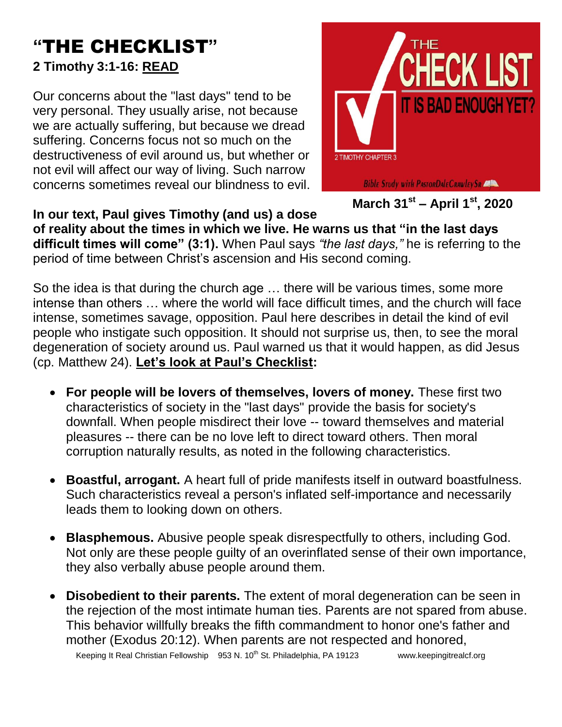## **"**THE CHECKLIST**" 2 Timothy 3:1-16: READ**

Our concerns about the "last days" tend to be very personal. They usually arise, not because we are actually suffering, but because we dread suffering. Concerns focus not so much on the destructiveness of evil around us, but whether or not evil will affect our way of living. Such narrow concerns sometimes reveal our blindness to evil.



## **In our text, Paul gives Timothy (and us) a dose**

**of reality about the times in which we live. He warns us that "in the last days difficult times will come" (3:1).** When Paul says *"the last days,"* he is referring to the period of time between Christ's ascension and His second coming.

So the idea is that during the church age … there will be various times, some more intense than others … where the world will face difficult times, and the church will face intense, sometimes savage, opposition. Paul here describes in detail the kind of evil people who instigate such opposition. It should not surprise us, then, to see the moral degeneration of society around us. Paul warned us that it would happen, as did Jesus (cp. Matthew 24). **Let's look at Paul's Checklist:**

- **For people will be lovers of themselves, lovers of money.** These first two characteristics of society in the "last days" provide the basis for society's downfall. When people misdirect their love -- toward themselves and material pleasures -- there can be no love left to direct toward others. Then moral corruption naturally results, as noted in the following characteristics.
- **Boastful, arrogant.** A heart full of pride manifests itself in outward boastfulness. Such characteristics reveal a person's inflated self-importance and necessarily leads them to looking down on others.
- **Blasphemous.** Abusive people speak disrespectfully to others, including God. Not only are these people guilty of an overinflated sense of their own importance, they also verbally abuse people around them.
- **Disobedient to their parents.** The extent of moral degeneration can be seen in the rejection of the most intimate human ties. Parents are not spared from abuse. This behavior willfully breaks the fifth commandment to honor one's father and mother (Exodus 20:12). When parents are not respected and honored,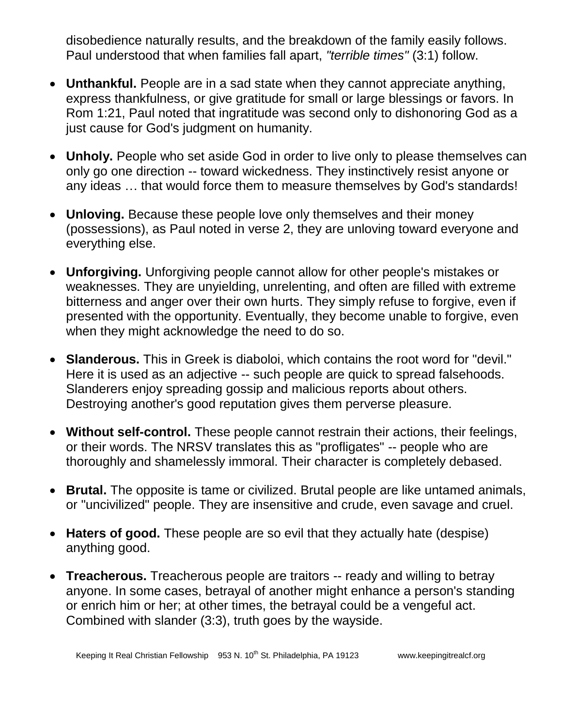disobedience naturally results, and the breakdown of the family easily follows. Paul understood that when families fall apart, *"terrible times"* (3:1) follow.

- **Unthankful.** People are in a sad state when they cannot appreciate anything, express thankfulness, or give gratitude for small or large blessings or favors. In Rom 1:21, Paul noted that ingratitude was second only to dishonoring God as a just cause for God's judgment on humanity.
- **Unholy.** People who set aside God in order to live only to please themselves can only go one direction -- toward wickedness. They instinctively resist anyone or any ideas … that would force them to measure themselves by God's standards!
- **Unloving.** Because these people love only themselves and their money (possessions), as Paul noted in verse 2, they are unloving toward everyone and everything else.
- **Unforgiving.** Unforgiving people cannot allow for other people's mistakes or weaknesses. They are unyielding, unrelenting, and often are filled with extreme bitterness and anger over their own hurts. They simply refuse to forgive, even if presented with the opportunity. Eventually, they become unable to forgive, even when they might acknowledge the need to do so.
- **Slanderous.** This in Greek is diaboloi, which contains the root word for "devil." Here it is used as an adjective -- such people are quick to spread falsehoods. Slanderers enjoy spreading gossip and malicious reports about others. Destroying another's good reputation gives them perverse pleasure.
- **Without self-control.** These people cannot restrain their actions, their feelings, or their words. The NRSV translates this as "profligates" -- people who are thoroughly and shamelessly immoral. Their character is completely debased.
- **Brutal.** The opposite is tame or civilized. Brutal people are like untamed animals, or "uncivilized" people. They are insensitive and crude, even savage and cruel.
- **Haters of good.** These people are so evil that they actually hate (despise) anything good.
- **Treacherous.** Treacherous people are traitors -- ready and willing to betray anyone. In some cases, betrayal of another might enhance a person's standing or enrich him or her; at other times, the betrayal could be a vengeful act. Combined with slander (3:3), truth goes by the wayside.